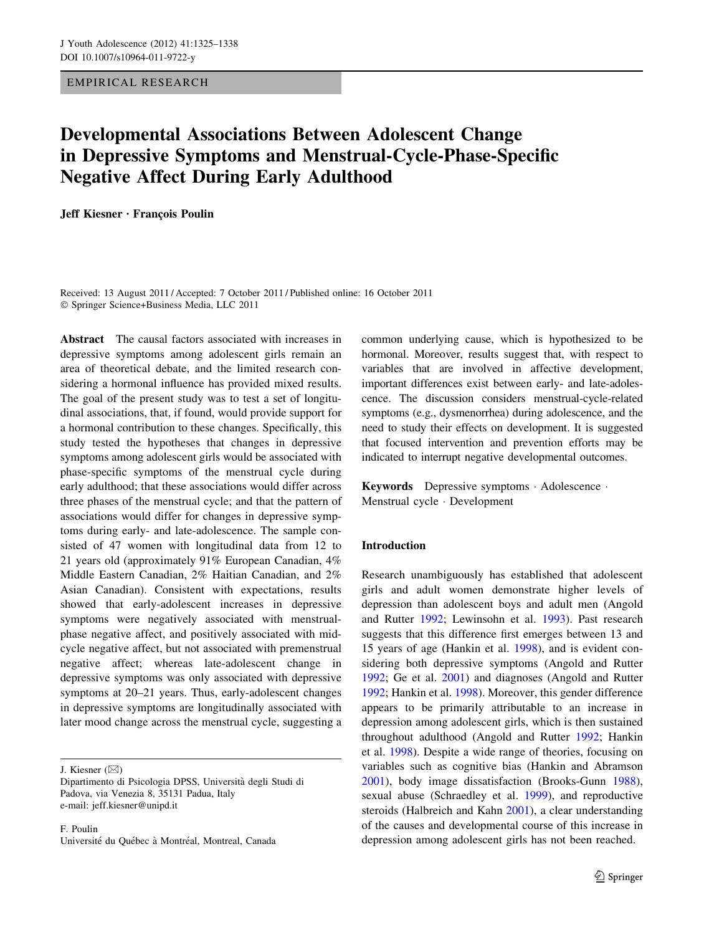# EMPIRICAL RESEARCH

# Developmental Associations Between Adolescent Change in Depressive Symptoms and Menstrual-Cycle-Phase-Specific Negative Affect During Early Adulthood

Jeff Kiesner · François Poulin

Received: 13 August 2011 / Accepted: 7 October 2011 / Published online: 16 October 2011 - Springer Science+Business Media, LLC 2011

Abstract The causal factors associated with increases in depressive symptoms among adolescent girls remain an area of theoretical debate, and the limited research considering a hormonal influence has provided mixed results. The goal of the present study was to test a set of longitudinal associations, that, if found, would provide support for a hormonal contribution to these changes. Specifically, this study tested the hypotheses that changes in depressive symptoms among adolescent girls would be associated with phase-specific symptoms of the menstrual cycle during early adulthood; that these associations would differ across three phases of the menstrual cycle; and that the pattern of associations would differ for changes in depressive symptoms during early- and late-adolescence. The sample consisted of 47 women with longitudinal data from 12 to 21 years old (approximately 91% European Canadian, 4% Middle Eastern Canadian, 2% Haitian Canadian, and 2% Asian Canadian). Consistent with expectations, results showed that early-adolescent increases in depressive symptoms were negatively associated with menstrualphase negative affect, and positively associated with midcycle negative affect, but not associated with premenstrual negative affect; whereas late-adolescent change in depressive symptoms was only associated with depressive symptoms at 20–21 years. Thus, early-adolescent changes in depressive symptoms are longitudinally associated with later mood change across the menstrual cycle, suggesting a

J. Kiesner  $(\boxtimes)$ 

F. Poulin Université du Québec à Montréal, Montreal, Canada common underlying cause, which is hypothesized to be hormonal. Moreover, results suggest that, with respect to variables that are involved in affective development, important differences exist between early- and late-adolescence. The discussion considers menstrual-cycle-related symptoms (e.g., dysmenorrhea) during adolescence, and the need to study their effects on development. It is suggested that focused intervention and prevention efforts may be indicated to interrupt negative developmental outcomes.

Keywords Depressive symptoms - Adolescence - Menstrual cycle - Development

## Introduction

Research unambiguously has established that adolescent girls and adult women demonstrate higher levels of depression than adolescent boys and adult men (Angold and Rutter [1992](#page-12-0); Lewinsohn et al. [1993\)](#page-13-0). Past research suggests that this difference first emerges between 13 and 15 years of age (Hankin et al. [1998](#page-12-0)), and is evident considering both depressive symptoms (Angold and Rutter [1992](#page-12-0); Ge et al. [2001\)](#page-12-0) and diagnoses (Angold and Rutter [1992](#page-12-0); Hankin et al. [1998\)](#page-12-0). Moreover, this gender difference appears to be primarily attributable to an increase in depression among adolescent girls, which is then sustained throughout adulthood (Angold and Rutter [1992](#page-12-0); Hankin et al. [1998](#page-12-0)). Despite a wide range of theories, focusing on variables such as cognitive bias (Hankin and Abramson [2001](#page-12-0)), body image dissatisfaction (Brooks-Gunn [1988](#page-12-0)), sexual abuse (Schraedley et al. [1999\)](#page-13-0), and reproductive steroids (Halbreich and Kahn [2001](#page-12-0)), a clear understanding of the causes and developmental course of this increase in depression among adolescent girls has not been reached.

Dipartimento di Psicologia DPSS, Universita` degli Studi di Padova, via Venezia 8, 35131 Padua, Italy e-mail: jeff.kiesner@unipd.it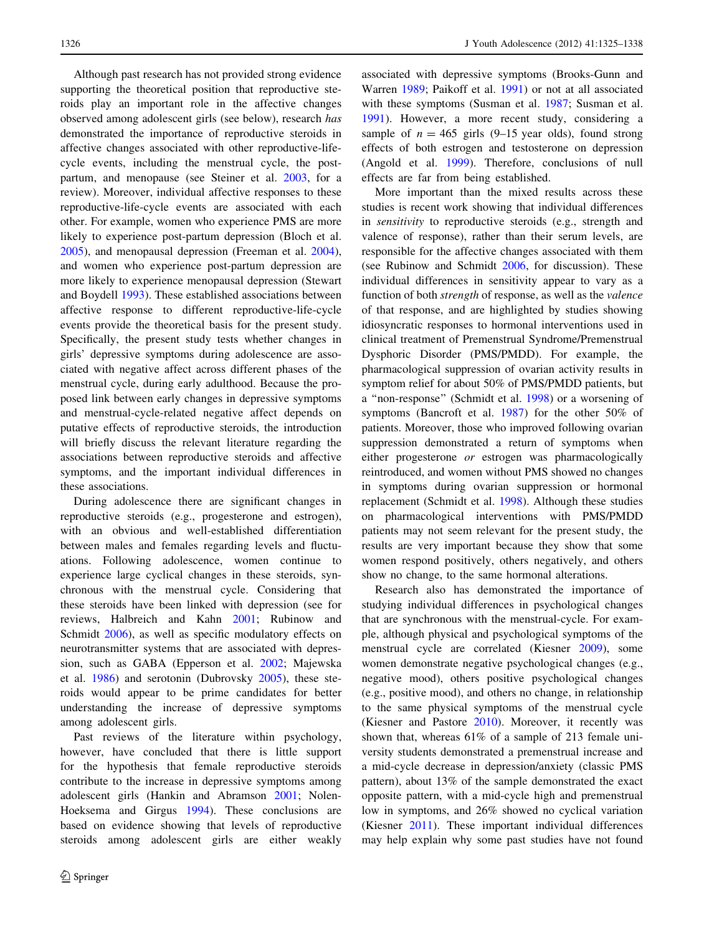Although past research has not provided strong evidence supporting the theoretical position that reproductive steroids play an important role in the affective changes observed among adolescent girls (see below), research has demonstrated the importance of reproductive steroids in affective changes associated with other reproductive-lifecycle events, including the menstrual cycle, the postpartum, and menopause (see Steiner et al. [2003,](#page-13-0) for a review). Moreover, individual affective responses to these reproductive-life-cycle events are associated with each other. For example, women who experience PMS are more likely to experience post-partum depression (Bloch et al. [2005\)](#page-12-0), and menopausal depression (Freeman et al. [2004](#page-12-0)), and women who experience post-partum depression are more likely to experience menopausal depression (Stewart and Boydell [1993\)](#page-13-0). These established associations between affective response to different reproductive-life-cycle events provide the theoretical basis for the present study. Specifically, the present study tests whether changes in girls' depressive symptoms during adolescence are associated with negative affect across different phases of the menstrual cycle, during early adulthood. Because the proposed link between early changes in depressive symptoms and menstrual-cycle-related negative affect depends on putative effects of reproductive steroids, the introduction will briefly discuss the relevant literature regarding the associations between reproductive steroids and affective symptoms, and the important individual differences in these associations.

During adolescence there are significant changes in reproductive steroids (e.g., progesterone and estrogen), with an obvious and well-established differentiation between males and females regarding levels and fluctuations. Following adolescence, women continue to experience large cyclical changes in these steroids, synchronous with the menstrual cycle. Considering that these steroids have been linked with depression (see for reviews, Halbreich and Kahn [2001;](#page-12-0) Rubinow and Schmidt [2006](#page-13-0)), as well as specific modulatory effects on neurotransmitter systems that are associated with depression, such as GABA (Epperson et al. [2002;](#page-12-0) Majewska et al. [1986](#page-13-0)) and serotonin (Dubrovsky [2005\)](#page-12-0), these steroids would appear to be prime candidates for better understanding the increase of depressive symptoms among adolescent girls.

Past reviews of the literature within psychology, however, have concluded that there is little support for the hypothesis that female reproductive steroids contribute to the increase in depressive symptoms among adolescent girls (Hankin and Abramson [2001](#page-12-0); Nolen-Hoeksema and Girgus [1994](#page-13-0)). These conclusions are based on evidence showing that levels of reproductive steroids among adolescent girls are either weakly

associated with depressive symptoms (Brooks-Gunn and Warren [1989;](#page-12-0) Paikoff et al. [1991](#page-13-0)) or not at all associated with these symptoms (Susman et al. [1987](#page-13-0); Susman et al. [1991](#page-13-0)). However, a more recent study, considering a sample of  $n = 465$  girls (9–15 year olds), found strong effects of both estrogen and testosterone on depression (Angold et al. [1999](#page-12-0)). Therefore, conclusions of null effects are far from being established.

More important than the mixed results across these studies is recent work showing that individual differences in sensitivity to reproductive steroids (e.g., strength and valence of response), rather than their serum levels, are responsible for the affective changes associated with them (see Rubinow and Schmidt [2006](#page-13-0), for discussion). These individual differences in sensitivity appear to vary as a function of both strength of response, as well as the valence of that response, and are highlighted by studies showing idiosyncratic responses to hormonal interventions used in clinical treatment of Premenstrual Syndrome/Premenstrual Dysphoric Disorder (PMS/PMDD). For example, the pharmacological suppression of ovarian activity results in symptom relief for about 50% of PMS/PMDD patients, but a ''non-response'' (Schmidt et al. [1998](#page-13-0)) or a worsening of symptoms (Bancroft et al. [1987\)](#page-12-0) for the other 50% of patients. Moreover, those who improved following ovarian suppression demonstrated a return of symptoms when either progesterone or estrogen was pharmacologically reintroduced, and women without PMS showed no changes in symptoms during ovarian suppression or hormonal replacement (Schmidt et al. [1998](#page-13-0)). Although these studies on pharmacological interventions with PMS/PMDD patients may not seem relevant for the present study, the results are very important because they show that some women respond positively, others negatively, and others show no change, to the same hormonal alterations.

Research also has demonstrated the importance of studying individual differences in psychological changes that are synchronous with the menstrual-cycle. For example, although physical and psychological symptoms of the menstrual cycle are correlated (Kiesner [2009](#page-12-0)), some women demonstrate negative psychological changes (e.g., negative mood), others positive psychological changes (e.g., positive mood), and others no change, in relationship to the same physical symptoms of the menstrual cycle (Kiesner and Pastore [2010](#page-12-0)). Moreover, it recently was shown that, whereas 61% of a sample of 213 female university students demonstrated a premenstrual increase and a mid-cycle decrease in depression/anxiety (classic PMS pattern), about 13% of the sample demonstrated the exact opposite pattern, with a mid-cycle high and premenstrual low in symptoms, and 26% showed no cyclical variation (Kiesner [2011](#page-12-0)). These important individual differences may help explain why some past studies have not found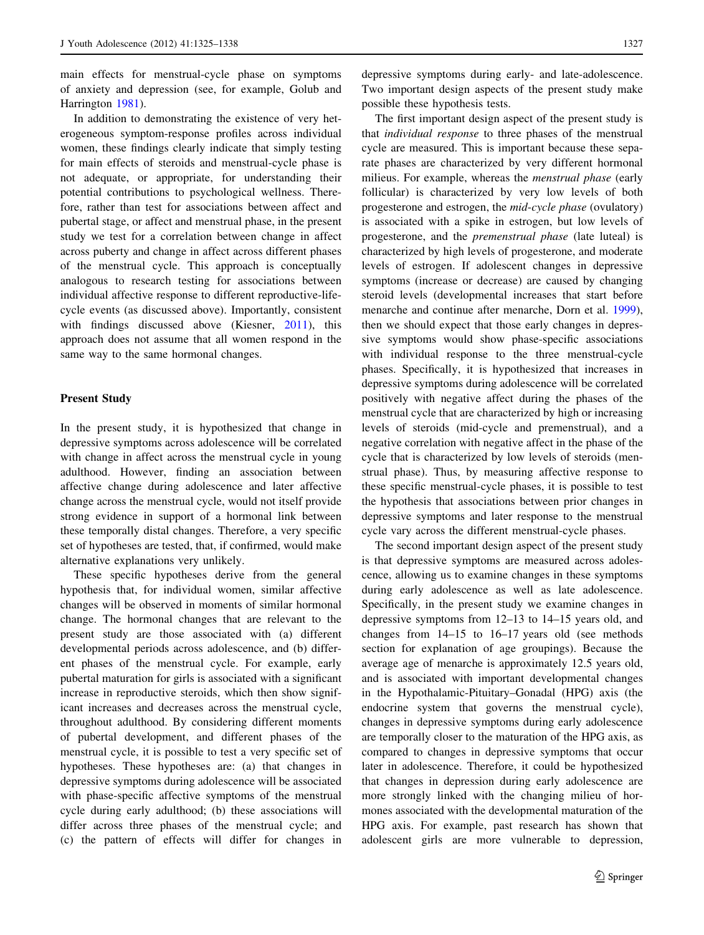main effects for menstrual-cycle phase on symptoms of anxiety and depression (see, for example, Golub and Harrington [1981](#page-12-0)).

In addition to demonstrating the existence of very heterogeneous symptom-response profiles across individual women, these findings clearly indicate that simply testing for main effects of steroids and menstrual-cycle phase is not adequate, or appropriate, for understanding their potential contributions to psychological wellness. Therefore, rather than test for associations between affect and pubertal stage, or affect and menstrual phase, in the present study we test for a correlation between change in affect across puberty and change in affect across different phases of the menstrual cycle. This approach is conceptually analogous to research testing for associations between individual affective response to different reproductive-lifecycle events (as discussed above). Importantly, consistent with findings discussed above (Kiesner, [2011\)](#page-12-0), this approach does not assume that all women respond in the same way to the same hormonal changes.

# Present Study

In the present study, it is hypothesized that change in depressive symptoms across adolescence will be correlated with change in affect across the menstrual cycle in young adulthood. However, finding an association between affective change during adolescence and later affective change across the menstrual cycle, would not itself provide strong evidence in support of a hormonal link between these temporally distal changes. Therefore, a very specific set of hypotheses are tested, that, if confirmed, would make alternative explanations very unlikely.

These specific hypotheses derive from the general hypothesis that, for individual women, similar affective changes will be observed in moments of similar hormonal change. The hormonal changes that are relevant to the present study are those associated with (a) different developmental periods across adolescence, and (b) different phases of the menstrual cycle. For example, early pubertal maturation for girls is associated with a significant increase in reproductive steroids, which then show significant increases and decreases across the menstrual cycle, throughout adulthood. By considering different moments of pubertal development, and different phases of the menstrual cycle, it is possible to test a very specific set of hypotheses. These hypotheses are: (a) that changes in depressive symptoms during adolescence will be associated with phase-specific affective symptoms of the menstrual cycle during early adulthood; (b) these associations will differ across three phases of the menstrual cycle; and (c) the pattern of effects will differ for changes in depressive symptoms during early- and late-adolescence. Two important design aspects of the present study make possible these hypothesis tests.

The first important design aspect of the present study is that individual response to three phases of the menstrual cycle are measured. This is important because these separate phases are characterized by very different hormonal milieus. For example, whereas the menstrual phase (early follicular) is characterized by very low levels of both progesterone and estrogen, the mid-cycle phase (ovulatory) is associated with a spike in estrogen, but low levels of progesterone, and the premenstrual phase (late luteal) is characterized by high levels of progesterone, and moderate levels of estrogen. If adolescent changes in depressive symptoms (increase or decrease) are caused by changing steroid levels (developmental increases that start before menarche and continue after menarche, Dorn et al. [1999](#page-12-0)), then we should expect that those early changes in depressive symptoms would show phase-specific associations with individual response to the three menstrual-cycle phases. Specifically, it is hypothesized that increases in depressive symptoms during adolescence will be correlated positively with negative affect during the phases of the menstrual cycle that are characterized by high or increasing levels of steroids (mid-cycle and premenstrual), and a negative correlation with negative affect in the phase of the cycle that is characterized by low levels of steroids (menstrual phase). Thus, by measuring affective response to these specific menstrual-cycle phases, it is possible to test the hypothesis that associations between prior changes in depressive symptoms and later response to the menstrual cycle vary across the different menstrual-cycle phases.

The second important design aspect of the present study is that depressive symptoms are measured across adolescence, allowing us to examine changes in these symptoms during early adolescence as well as late adolescence. Specifically, in the present study we examine changes in depressive symptoms from 12–13 to 14–15 years old, and changes from 14–15 to 16–17 years old (see methods section for explanation of age groupings). Because the average age of menarche is approximately 12.5 years old, and is associated with important developmental changes in the Hypothalamic-Pituitary–Gonadal (HPG) axis (the endocrine system that governs the menstrual cycle), changes in depressive symptoms during early adolescence are temporally closer to the maturation of the HPG axis, as compared to changes in depressive symptoms that occur later in adolescence. Therefore, it could be hypothesized that changes in depression during early adolescence are more strongly linked with the changing milieu of hormones associated with the developmental maturation of the HPG axis. For example, past research has shown that adolescent girls are more vulnerable to depression,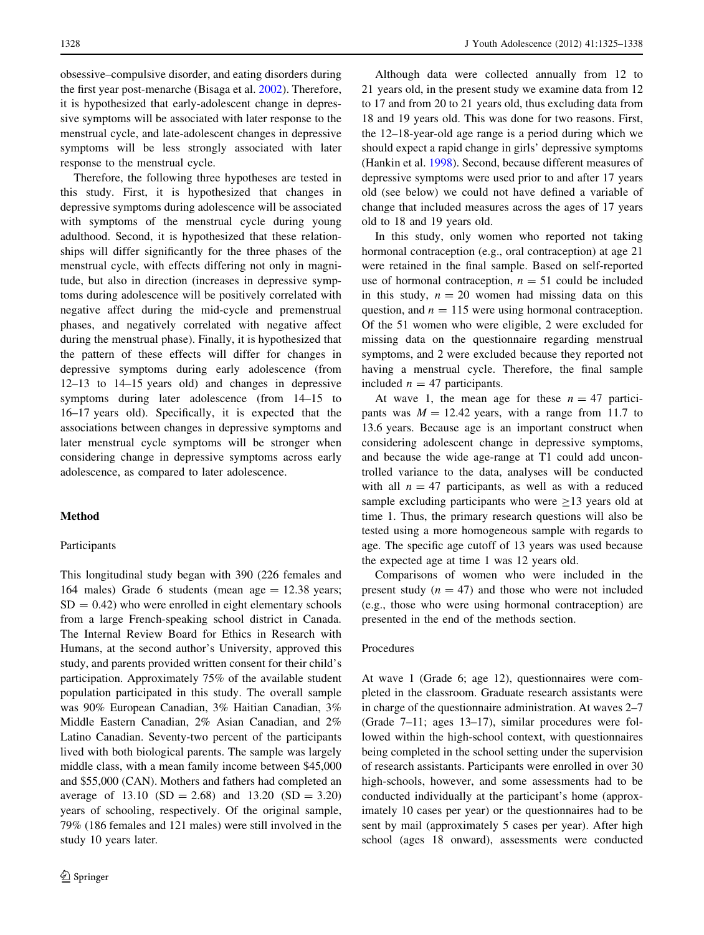obsessive–compulsive disorder, and eating disorders during the first year post-menarche (Bisaga et al. [2002\)](#page-12-0). Therefore, it is hypothesized that early-adolescent change in depressive symptoms will be associated with later response to the menstrual cycle, and late-adolescent changes in depressive symptoms will be less strongly associated with later response to the menstrual cycle.

Therefore, the following three hypotheses are tested in this study. First, it is hypothesized that changes in depressive symptoms during adolescence will be associated with symptoms of the menstrual cycle during young adulthood. Second, it is hypothesized that these relationships will differ significantly for the three phases of the menstrual cycle, with effects differing not only in magnitude, but also in direction (increases in depressive symptoms during adolescence will be positively correlated with negative affect during the mid-cycle and premenstrual phases, and negatively correlated with negative affect during the menstrual phase). Finally, it is hypothesized that the pattern of these effects will differ for changes in depressive symptoms during early adolescence (from 12–13 to 14–15 years old) and changes in depressive symptoms during later adolescence (from 14–15 to 16–17 years old). Specifically, it is expected that the associations between changes in depressive symptoms and later menstrual cycle symptoms will be stronger when considering change in depressive symptoms across early adolescence, as compared to later adolescence.

# Method

## Participants

This longitudinal study began with 390 (226 females and 164 males) Grade 6 students (mean age  $= 12.38$  years;  $SD = 0.42$ ) who were enrolled in eight elementary schools from a large French-speaking school district in Canada. The Internal Review Board for Ethics in Research with Humans, at the second author's University, approved this study, and parents provided written consent for their child's participation. Approximately 75% of the available student population participated in this study. The overall sample was 90% European Canadian, 3% Haitian Canadian, 3% Middle Eastern Canadian, 2% Asian Canadian, and 2% Latino Canadian. Seventy-two percent of the participants lived with both biological parents. The sample was largely middle class, with a mean family income between \$45,000 and \$55,000 (CAN). Mothers and fathers had completed an average of  $13.10$  (SD = 2.68) and  $13.20$  (SD = 3.20) years of schooling, respectively. Of the original sample, 79% (186 females and 121 males) were still involved in the study 10 years later.

Although data were collected annually from 12 to 21 years old, in the present study we examine data from 12 to 17 and from 20 to 21 years old, thus excluding data from 18 and 19 years old. This was done for two reasons. First, the 12–18-year-old age range is a period during which we should expect a rapid change in girls' depressive symptoms (Hankin et al. [1998\)](#page-12-0). Second, because different measures of depressive symptoms were used prior to and after 17 years old (see below) we could not have defined a variable of change that included measures across the ages of 17 years old to 18 and 19 years old.

In this study, only women who reported not taking hormonal contraception (e.g., oral contraception) at age 21 were retained in the final sample. Based on self-reported use of hormonal contraception,  $n = 51$  could be included in this study,  $n = 20$  women had missing data on this question, and  $n = 115$  were using hormonal contraception. Of the 51 women who were eligible, 2 were excluded for missing data on the questionnaire regarding menstrual symptoms, and 2 were excluded because they reported not having a menstrual cycle. Therefore, the final sample included  $n = 47$  participants.

At wave 1, the mean age for these  $n = 47$  participants was  $M = 12.42$  years, with a range from 11.7 to 13.6 years. Because age is an important construct when considering adolescent change in depressive symptoms, and because the wide age-range at T1 could add uncontrolled variance to the data, analyses will be conducted with all  $n = 47$  participants, as well as with a reduced sample excluding participants who were  $>13$  years old at time 1. Thus, the primary research questions will also be tested using a more homogeneous sample with regards to age. The specific age cutoff of 13 years was used because the expected age at time 1 was 12 years old.

Comparisons of women who were included in the present study  $(n = 47)$  and those who were not included (e.g., those who were using hormonal contraception) are presented in the end of the methods section.

## Procedures

At wave 1 (Grade 6; age 12), questionnaires were completed in the classroom. Graduate research assistants were in charge of the questionnaire administration. At waves 2–7 (Grade 7–11; ages 13–17), similar procedures were followed within the high-school context, with questionnaires being completed in the school setting under the supervision of research assistants. Participants were enrolled in over 30 high-schools, however, and some assessments had to be conducted individually at the participant's home (approximately 10 cases per year) or the questionnaires had to be sent by mail (approximately 5 cases per year). After high school (ages 18 onward), assessments were conducted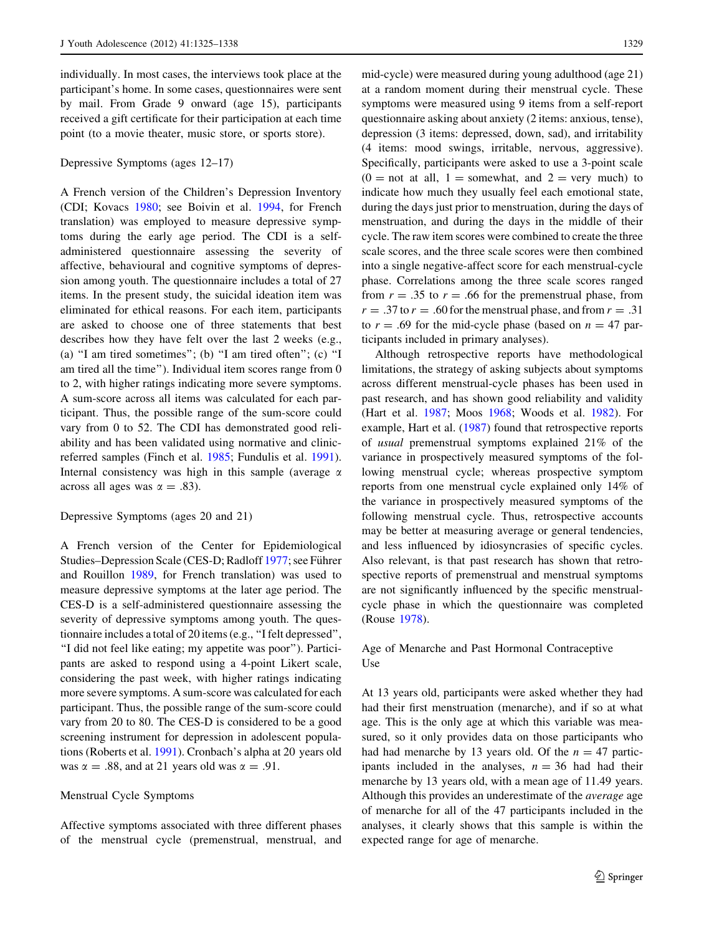individually. In most cases, the interviews took place at the participant's home. In some cases, questionnaires were sent by mail. From Grade 9 onward (age 15), participants received a gift certificate for their participation at each time point (to a movie theater, music store, or sports store).

### Depressive Symptoms (ages 12–17)

A French version of the Children's Depression Inventory (CDI; Kovacs [1980;](#page-13-0) see Boivin et al. [1994,](#page-12-0) for French translation) was employed to measure depressive symptoms during the early age period. The CDI is a selfadministered questionnaire assessing the severity of affective, behavioural and cognitive symptoms of depression among youth. The questionnaire includes a total of 27 items. In the present study, the suicidal ideation item was eliminated for ethical reasons. For each item, participants are asked to choose one of three statements that best describes how they have felt over the last 2 weeks (e.g., (a) ''I am tired sometimes''; (b) ''I am tired often''; (c) ''I am tired all the time''). Individual item scores range from 0 to 2, with higher ratings indicating more severe symptoms. A sum-score across all items was calculated for each participant. Thus, the possible range of the sum-score could vary from 0 to 52. The CDI has demonstrated good reliability and has been validated using normative and clinicreferred samples (Finch et al. [1985](#page-12-0); Fundulis et al. [1991](#page-12-0)). Internal consistency was high in this sample (average  $\alpha$ across all ages was  $\alpha = .83$ ).

#### Depressive Symptoms (ages 20 and 21)

A French version of the Center for Epidemiological Studies–Depression Scale (CES-D; Radloff [1977;](#page-13-0) see Führer and Rouillon [1989](#page-12-0), for French translation) was used to measure depressive symptoms at the later age period. The CES-D is a self-administered questionnaire assessing the severity of depressive symptoms among youth. The questionnaire includes a total of 20 items (e.g., ''I felt depressed'', ''I did not feel like eating; my appetite was poor''). Participants are asked to respond using a 4-point Likert scale, considering the past week, with higher ratings indicating more severe symptoms. A sum-score was calculated for each participant. Thus, the possible range of the sum-score could vary from 20 to 80. The CES-D is considered to be a good screening instrument for depression in adolescent populations (Roberts et al. [1991](#page-13-0)). Cronbach's alpha at 20 years old was  $\alpha = .88$ , and at 21 years old was  $\alpha = .91$ .

## Menstrual Cycle Symptoms

Affective symptoms associated with three different phases of the menstrual cycle (premenstrual, menstrual, and mid-cycle) were measured during young adulthood (age 21) at a random moment during their menstrual cycle. These symptoms were measured using 9 items from a self-report questionnaire asking about anxiety (2 items: anxious, tense), depression (3 items: depressed, down, sad), and irritability (4 items: mood swings, irritable, nervous, aggressive). Specifically, participants were asked to use a 3-point scale  $(0 = not at all, 1 = somewhat, and 2 = very much)$ indicate how much they usually feel each emotional state, during the days just prior to menstruation, during the days of menstruation, and during the days in the middle of their cycle. The raw item scores were combined to create the three scale scores, and the three scale scores were then combined into a single negative-affect score for each menstrual-cycle phase. Correlations among the three scale scores ranged from  $r = .35$  to  $r = .66$  for the premenstrual phase, from  $r = .37$  to  $r = .60$  for the menstrual phase, and from  $r = .31$ to  $r = .69$  for the mid-cycle phase (based on  $n = 47$  participants included in primary analyses).

Although retrospective reports have methodological limitations, the strategy of asking subjects about symptoms across different menstrual-cycle phases has been used in past research, and has shown good reliability and validity (Hart et al. [1987](#page-12-0); Moos [1968](#page-13-0); Woods et al. [1982\)](#page-13-0). For example, Hart et al. ([1987\)](#page-12-0) found that retrospective reports of usual premenstrual symptoms explained 21% of the variance in prospectively measured symptoms of the following menstrual cycle; whereas prospective symptom reports from one menstrual cycle explained only 14% of the variance in prospectively measured symptoms of the following menstrual cycle. Thus, retrospective accounts may be better at measuring average or general tendencies, and less influenced by idiosyncrasies of specific cycles. Also relevant, is that past research has shown that retrospective reports of premenstrual and menstrual symptoms are not significantly influenced by the specific menstrualcycle phase in which the questionnaire was completed (Rouse [1978\)](#page-13-0).

# Age of Menarche and Past Hormonal Contraceptive Use

At 13 years old, participants were asked whether they had had their first menstruation (menarche), and if so at what age. This is the only age at which this variable was measured, so it only provides data on those participants who had had menarche by 13 years old. Of the  $n = 47$  participants included in the analyses,  $n = 36$  had had their menarche by 13 years old, with a mean age of 11.49 years. Although this provides an underestimate of the average age of menarche for all of the 47 participants included in the analyses, it clearly shows that this sample is within the expected range for age of menarche.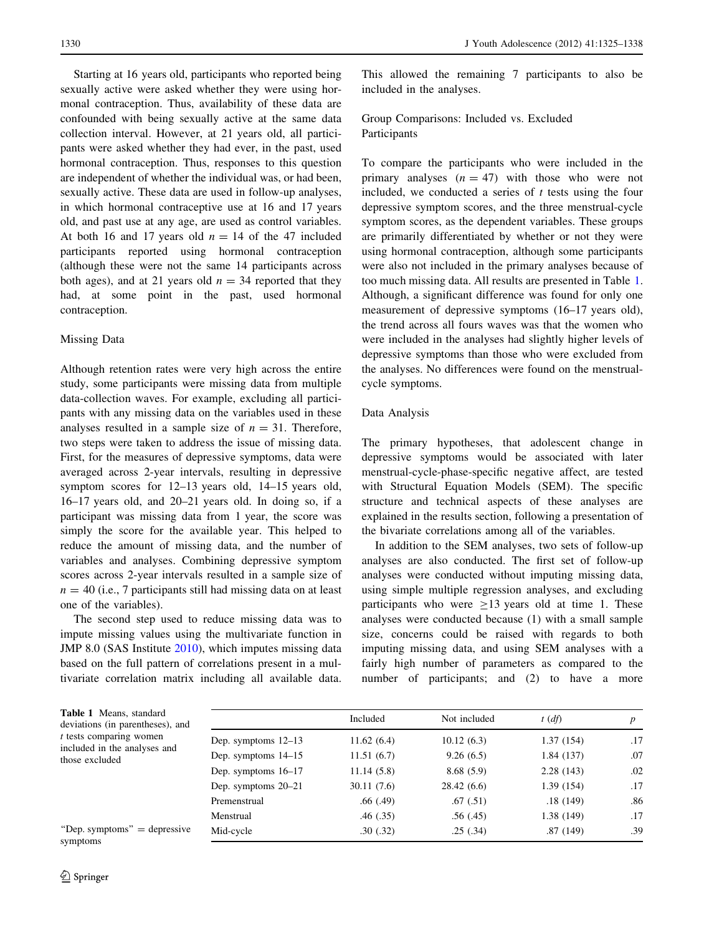Starting at 16 years old, participants who reported being sexually active were asked whether they were using hormonal contraception. Thus, availability of these data are confounded with being sexually active at the same data collection interval. However, at 21 years old, all participants were asked whether they had ever, in the past, used hormonal contraception. Thus, responses to this question are independent of whether the individual was, or had been, sexually active. These data are used in follow-up analyses, in which hormonal contraceptive use at 16 and 17 years old, and past use at any age, are used as control variables. At both 16 and 17 years old  $n = 14$  of the 47 included participants reported using hormonal contraception (although these were not the same 14 participants across both ages), and at 21 years old  $n = 34$  reported that they had, at some point in the past, used hormonal contraception.

### Missing Data

Although retention rates were very high across the entire study, some participants were missing data from multiple data-collection waves. For example, excluding all participants with any missing data on the variables used in these analyses resulted in a sample size of  $n = 31$ . Therefore, two steps were taken to address the issue of missing data. First, for the measures of depressive symptoms, data were averaged across 2-year intervals, resulting in depressive symptom scores for 12–13 years old, 14–15 years old, 16–17 years old, and 20–21 years old. In doing so, if a participant was missing data from 1 year, the score was simply the score for the available year. This helped to reduce the amount of missing data, and the number of variables and analyses. Combining depressive symptom scores across 2-year intervals resulted in a sample size of  $n = 40$  (i.e., 7 participants still had missing data on at least one of the variables).

The second step used to reduce missing data was to impute missing values using the multivariate function in JMP 8.0 (SAS Institute [2010\)](#page-13-0), which imputes missing data based on the full pattern of correlations present in a multivariate correlation matrix including all available data.

This allowed the remaining 7 participants to also be included in the analyses.

Group Comparisons: Included vs. Excluded Participants

To compare the participants who were included in the primary analyses  $(n = 47)$  with those who were not included, we conducted a series of  $t$  tests using the four depressive symptom scores, and the three menstrual-cycle symptom scores, as the dependent variables. These groups are primarily differentiated by whether or not they were using hormonal contraception, although some participants were also not included in the primary analyses because of too much missing data. All results are presented in Table 1. Although, a significant difference was found for only one measurement of depressive symptoms (16–17 years old), the trend across all fours waves was that the women who were included in the analyses had slightly higher levels of depressive symptoms than those who were excluded from the analyses. No differences were found on the menstrualcycle symptoms.

## Data Analysis

The primary hypotheses, that adolescent change in depressive symptoms would be associated with later menstrual-cycle-phase-specific negative affect, are tested with Structural Equation Models (SEM). The specific structure and technical aspects of these analyses are explained in the results section, following a presentation of the bivariate correlations among all of the variables.

In addition to the SEM analyses, two sets of follow-up analyses are also conducted. The first set of follow-up analyses were conducted without imputing missing data, using simple multiple regression analyses, and excluding participants who were  $\geq 13$  years old at time 1. These analyses were conducted because (1) with a small sample size, concerns could be raised with regards to both imputing missing data, and using SEM analyses with a fairly high number of parameters as compared to the number of participants; and (2) to have a more

| Table 1 Means, standard          |
|----------------------------------|
| deviations (in parentheses), and |
| $t$ tests comparing women        |
| included in the analyses and     |
| those excluded                   |
|                                  |

"Dep. symptoms"  $=$  depressi symptoms

| ıd |                       | Included   | Not included | $t(d\hat{f})$ | p   |
|----|-----------------------|------------|--------------|---------------|-----|
|    | Dep. symptoms 12–13   | 11.62(6.4) | 10.12(6.3)   | 1.37(154)     | .17 |
|    | Dep. symptoms 14–15   | 11.51(6.7) | 9.26(6.5)    | 1.84(137)     | .07 |
|    | Dep. symptoms $16-17$ | 11.14(5.8) | 8.68(5.9)    | 2.28(143)     | .02 |
|    | Dep. symptoms 20–21   | 30.11(7.6) | 28.42(6.6)   | 1.39(154)     | .17 |
|    | Premenstrual          | .66(.49)   | .67(.51)     | .18(149)      | .86 |
|    | Menstrual             | .46(.35)   | .56(.45)     | 1.38 (149)    | .17 |
| ve | Mid-cycle             | .30(.32)   | .25(.34)     | .87(149)      | .39 |
|    |                       |            |              |               |     |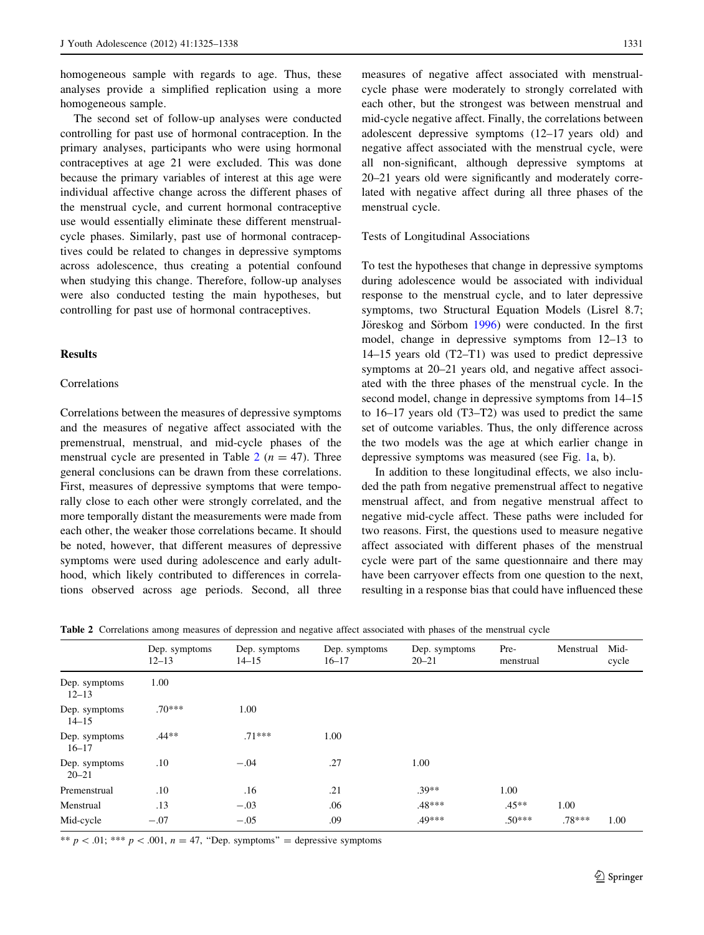homogeneous sample with regards to age. Thus, these analyses provide a simplified replication using a more homogeneous sample.

The second set of follow-up analyses were conducted controlling for past use of hormonal contraception. In the primary analyses, participants who were using hormonal contraceptives at age 21 were excluded. This was done because the primary variables of interest at this age were individual affective change across the different phases of the menstrual cycle, and current hormonal contraceptive use would essentially eliminate these different menstrualcycle phases. Similarly, past use of hormonal contraceptives could be related to changes in depressive symptoms across adolescence, thus creating a potential confound when studying this change. Therefore, follow-up analyses were also conducted testing the main hypotheses, but controlling for past use of hormonal contraceptives.

# **Results**

## Correlations

Correlations between the measures of depressive symptoms and the measures of negative affect associated with the premenstrual, menstrual, and mid-cycle phases of the menstrual cycle are presented in Table 2 ( $n = 47$ ). Three general conclusions can be drawn from these correlations. First, measures of depressive symptoms that were temporally close to each other were strongly correlated, and the more temporally distant the measurements were made from each other, the weaker those correlations became. It should be noted, however, that different measures of depressive symptoms were used during adolescence and early adulthood, which likely contributed to differences in correlations observed across age periods. Second, all three

measures of negative affect associated with menstrualcycle phase were moderately to strongly correlated with each other, but the strongest was between menstrual and mid-cycle negative affect. Finally, the correlations between adolescent depressive symptoms (12–17 years old) and negative affect associated with the menstrual cycle, were all non-significant, although depressive symptoms at 20–21 years old were significantly and moderately correlated with negative affect during all three phases of the menstrual cycle.

Tests of Longitudinal Associations

To test the hypotheses that change in depressive symptoms during adolescence would be associated with individual response to the menstrual cycle, and to later depressive symptoms, two Structural Equation Models (Lisrel 8.7; Jöreskog and Sörbom [1996](#page-12-0)) were conducted. In the first model, change in depressive symptoms from 12–13 to 14–15 years old (T2–T1) was used to predict depressive symptoms at 20–21 years old, and negative affect associated with the three phases of the menstrual cycle. In the second model, change in depressive symptoms from 14–15 to 16–17 years old (T3–T2) was used to predict the same set of outcome variables. Thus, the only difference across the two models was the age at which earlier change in depressive symptoms was measured (see Fig. [1](#page-7-0)a, b).

In addition to these longitudinal effects, we also included the path from negative premenstrual affect to negative menstrual affect, and from negative menstrual affect to negative mid-cycle affect. These paths were included for two reasons. First, the questions used to measure negative affect associated with different phases of the menstrual cycle were part of the same questionnaire and there may have been carryover effects from one question to the next, resulting in a response bias that could have influenced these

|  | <b>Table 2</b> Correlations among measures of depression and negative affect associated with phases of the menstrual cycle |  |  |  |  |  |  |
|--|----------------------------------------------------------------------------------------------------------------------------|--|--|--|--|--|--|
|  |                                                                                                                            |  |  |  |  |  |  |

|                            | Dep. symptoms<br>$12 - 13$ | Dep. symptoms<br>$14 - 15$ | Dep. symptoms<br>$16 - 17$ | Dep. symptoms<br>$20 - 21$ | Pre-<br>menstrual | Menstrual | Mid-<br>cycle |
|----------------------------|----------------------------|----------------------------|----------------------------|----------------------------|-------------------|-----------|---------------|
| Dep. symptoms<br>$12 - 13$ | 1.00                       |                            |                            |                            |                   |           |               |
| Dep. symptoms<br>$14 - 15$ | $.70***$                   | 1.00                       |                            |                            |                   |           |               |
| Dep. symptoms<br>$16 - 17$ | $.44**$                    | $.71***$                   | 1.00                       |                            |                   |           |               |
| Dep. symptoms<br>$20 - 21$ | .10                        | $-.04$                     | .27                        | 1.00                       |                   |           |               |
| Premenstrual               | .10                        | .16                        | .21                        | $.39**$                    | 1.00              |           |               |
| Menstrual                  | .13                        | $-.03$                     | .06                        | $.48***$                   | $.45**$           | 1.00      |               |
| Mid-cycle                  | $-.07$                     | $-.05$                     | .09                        | $.49***$                   | $.50***$          | $.78***$  | 1.00          |

\*\*  $p$  < .01; \*\*\*  $p$  < .001,  $n = 47$ , "Dep. symptoms" = depressive symptoms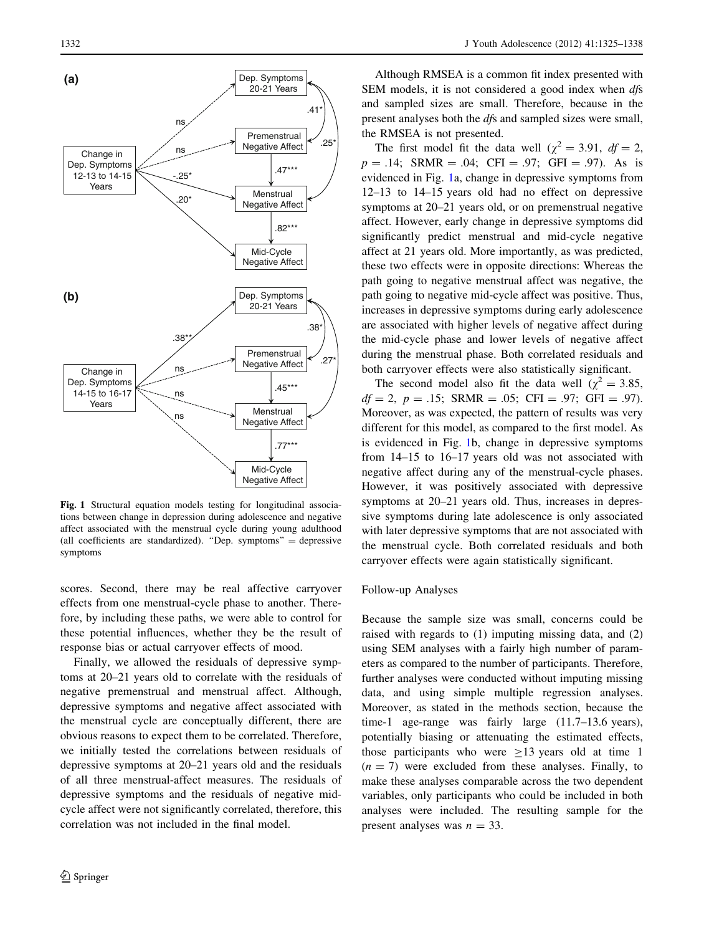<span id="page-7-0"></span>

Fig. 1 Structural equation models testing for longitudinal associations between change in depression during adolescence and negative affect associated with the menstrual cycle during young adulthood (all coefficients are standardized). ''Dep. symptoms'' = depressive symptoms

scores. Second, there may be real affective carryover effects from one menstrual-cycle phase to another. Therefore, by including these paths, we were able to control for these potential influences, whether they be the result of response bias or actual carryover effects of mood.

Finally, we allowed the residuals of depressive symptoms at 20–21 years old to correlate with the residuals of negative premenstrual and menstrual affect. Although, depressive symptoms and negative affect associated with the menstrual cycle are conceptually different, there are obvious reasons to expect them to be correlated. Therefore, we initially tested the correlations between residuals of depressive symptoms at 20–21 years old and the residuals of all three menstrual-affect measures. The residuals of depressive symptoms and the residuals of negative midcycle affect were not significantly correlated, therefore, this correlation was not included in the final model.

Although RMSEA is a common fit index presented with SEM models, it is not considered a good index when *dfs* and sampled sizes are small. Therefore, because in the present analyses both the dfs and sampled sizes were small, the RMSEA is not presented.

The first model fit the data well ( $\chi^2 = 3.91$ ,  $df = 2$ ,  $p = .14$ ; SRMR = .04; CFI = .97; GFI = .97). As is evidenced in Fig. 1a, change in depressive symptoms from 12–13 to 14–15 years old had no effect on depressive symptoms at 20–21 years old, or on premenstrual negative affect. However, early change in depressive symptoms did significantly predict menstrual and mid-cycle negative affect at 21 years old. More importantly, as was predicted, these two effects were in opposite directions: Whereas the path going to negative menstrual affect was negative, the path going to negative mid-cycle affect was positive. Thus, increases in depressive symptoms during early adolescence are associated with higher levels of negative affect during the mid-cycle phase and lower levels of negative affect during the menstrual phase. Both correlated residuals and both carryover effects were also statistically significant.

The second model also fit the data well ( $\chi^2 = 3.85$ ,  $df = 2$ ,  $p = .15$ ; SRMR = .05; CFI = .97; GFI = .97). Moreover, as was expected, the pattern of results was very different for this model, as compared to the first model. As is evidenced in Fig. 1b, change in depressive symptoms from 14–15 to 16–17 years old was not associated with negative affect during any of the menstrual-cycle phases. However, it was positively associated with depressive symptoms at 20–21 years old. Thus, increases in depressive symptoms during late adolescence is only associated with later depressive symptoms that are not associated with the menstrual cycle. Both correlated residuals and both carryover effects were again statistically significant.

#### Follow-up Analyses

Because the sample size was small, concerns could be raised with regards to (1) imputing missing data, and (2) using SEM analyses with a fairly high number of parameters as compared to the number of participants. Therefore, further analyses were conducted without imputing missing data, and using simple multiple regression analyses. Moreover, as stated in the methods section, because the time-1 age-range was fairly large (11.7–13.6 years), potentially biasing or attenuating the estimated effects, those participants who were  $\geq$ 13 years old at time 1  $(n = 7)$  were excluded from these analyses. Finally, to make these analyses comparable across the two dependent variables, only participants who could be included in both analyses were included. The resulting sample for the present analyses was  $n = 33$ .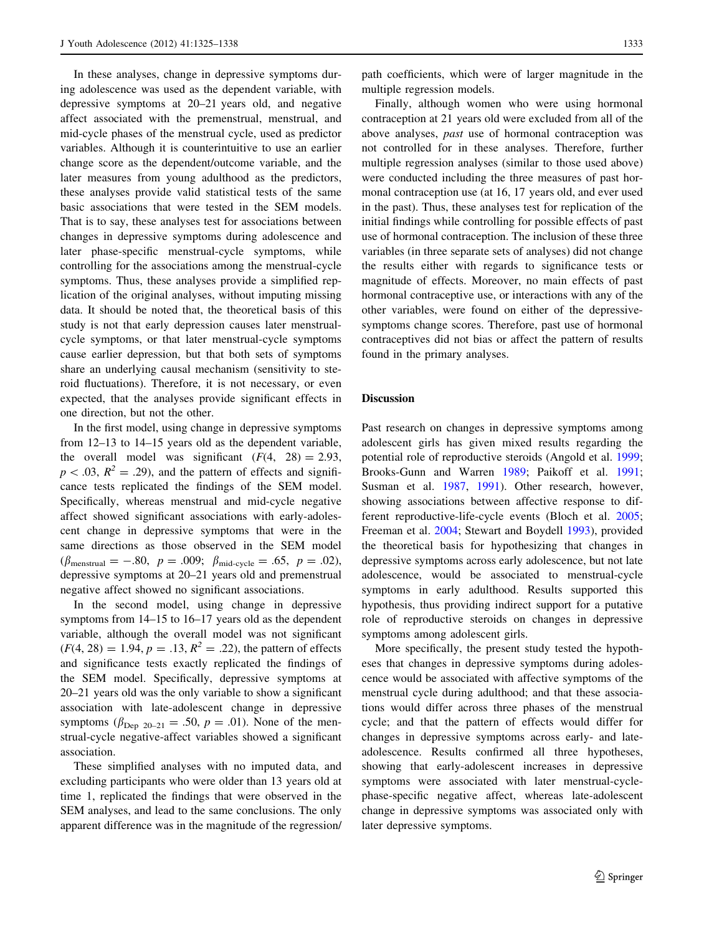In these analyses, change in depressive symptoms during adolescence was used as the dependent variable, with depressive symptoms at 20–21 years old, and negative affect associated with the premenstrual, menstrual, and mid-cycle phases of the menstrual cycle, used as predictor variables. Although it is counterintuitive to use an earlier change score as the dependent/outcome variable, and the later measures from young adulthood as the predictors, these analyses provide valid statistical tests of the same basic associations that were tested in the SEM models. That is to say, these analyses test for associations between changes in depressive symptoms during adolescence and later phase-specific menstrual-cycle symptoms, while controlling for the associations among the menstrual-cycle symptoms. Thus, these analyses provide a simplified replication of the original analyses, without imputing missing data. It should be noted that, the theoretical basis of this study is not that early depression causes later menstrualcycle symptoms, or that later menstrual-cycle symptoms cause earlier depression, but that both sets of symptoms share an underlying causal mechanism (sensitivity to steroid fluctuations). Therefore, it is not necessary, or even expected, that the analyses provide significant effects in one direction, but not the other.

In the first model, using change in depressive symptoms from 12–13 to 14–15 years old as the dependent variable, the overall model was significant  $(F(4, 28) = 2.93,$  $p < .03$ ,  $R^2 = .29$ ), and the pattern of effects and significance tests replicated the findings of the SEM model. Specifically, whereas menstrual and mid-cycle negative affect showed significant associations with early-adolescent change in depressive symptoms that were in the same directions as those observed in the SEM model  $(\beta_{\text{meast } 1} = -.80, p = .009; \beta_{\text{mid-cycle}} = .65, p = .02),$ depressive symptoms at 20–21 years old and premenstrual negative affect showed no significant associations.

In the second model, using change in depressive symptoms from 14–15 to 16–17 years old as the dependent variable, although the overall model was not significant  $(F(4, 28) = 1.94, p = .13, R<sup>2</sup> = .22)$ , the pattern of effects and significance tests exactly replicated the findings of the SEM model. Specifically, depressive symptoms at 20–21 years old was the only variable to show a significant association with late-adolescent change in depressive symptoms ( $\beta_{\text{Dep}}$  20–21 = .50,  $p = .01$ ). None of the menstrual-cycle negative-affect variables showed a significant association.

These simplified analyses with no imputed data, and excluding participants who were older than 13 years old at time 1, replicated the findings that were observed in the SEM analyses, and lead to the same conclusions. The only apparent difference was in the magnitude of the regression/

path coefficients, which were of larger magnitude in the multiple regression models.

Finally, although women who were using hormonal contraception at 21 years old were excluded from all of the above analyses, past use of hormonal contraception was not controlled for in these analyses. Therefore, further multiple regression analyses (similar to those used above) were conducted including the three measures of past hormonal contraception use (at 16, 17 years old, and ever used in the past). Thus, these analyses test for replication of the initial findings while controlling for possible effects of past use of hormonal contraception. The inclusion of these three variables (in three separate sets of analyses) did not change the results either with regards to significance tests or magnitude of effects. Moreover, no main effects of past hormonal contraceptive use, or interactions with any of the other variables, were found on either of the depressivesymptoms change scores. Therefore, past use of hormonal contraceptives did not bias or affect the pattern of results found in the primary analyses.

# Discussion

Past research on changes in depressive symptoms among adolescent girls has given mixed results regarding the potential role of reproductive steroids (Angold et al. [1999](#page-12-0); Brooks-Gunn and Warren [1989](#page-12-0); Paikoff et al. [1991](#page-13-0); Susman et al. [1987](#page-13-0), [1991](#page-13-0)). Other research, however, showing associations between affective response to different reproductive-life-cycle events (Bloch et al. [2005](#page-12-0); Freeman et al. [2004;](#page-12-0) Stewart and Boydell [1993\)](#page-13-0), provided the theoretical basis for hypothesizing that changes in depressive symptoms across early adolescence, but not late adolescence, would be associated to menstrual-cycle symptoms in early adulthood. Results supported this hypothesis, thus providing indirect support for a putative role of reproductive steroids on changes in depressive symptoms among adolescent girls.

More specifically, the present study tested the hypotheses that changes in depressive symptoms during adolescence would be associated with affective symptoms of the menstrual cycle during adulthood; and that these associations would differ across three phases of the menstrual cycle; and that the pattern of effects would differ for changes in depressive symptoms across early- and lateadolescence. Results confirmed all three hypotheses, showing that early-adolescent increases in depressive symptoms were associated with later menstrual-cyclephase-specific negative affect, whereas late-adolescent change in depressive symptoms was associated only with later depressive symptoms.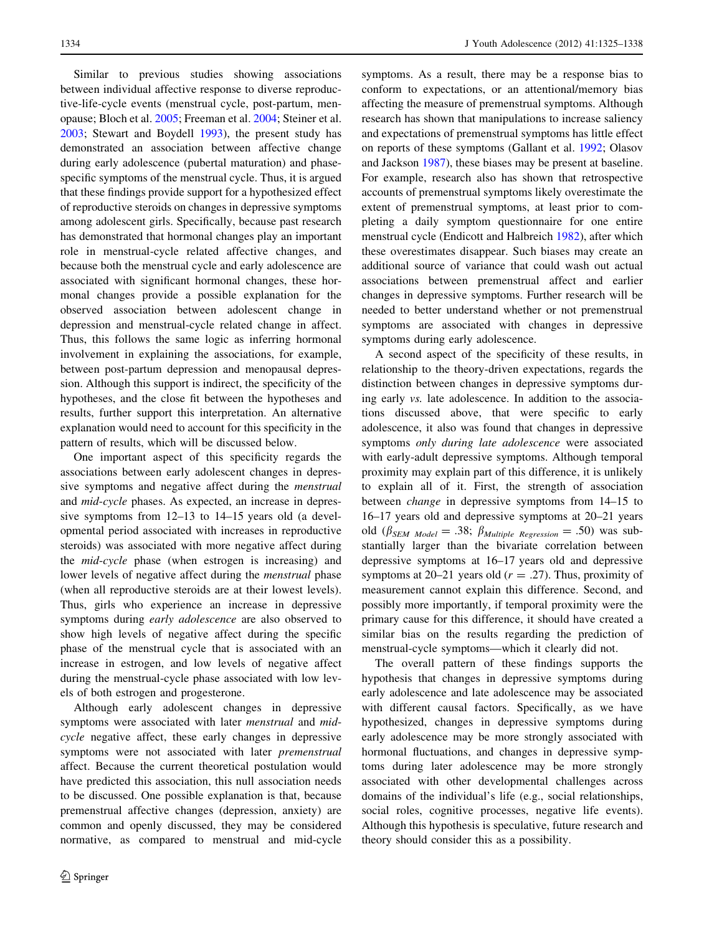Similar to previous studies showing associations between individual affective response to diverse reproductive-life-cycle events (menstrual cycle, post-partum, menopause; Bloch et al. [2005](#page-12-0); Freeman et al. [2004](#page-12-0); Steiner et al. [2003;](#page-13-0) Stewart and Boydell [1993\)](#page-13-0), the present study has demonstrated an association between affective change during early adolescence (pubertal maturation) and phasespecific symptoms of the menstrual cycle. Thus, it is argued that these findings provide support for a hypothesized effect of reproductive steroids on changes in depressive symptoms among adolescent girls. Specifically, because past research has demonstrated that hormonal changes play an important role in menstrual-cycle related affective changes, and because both the menstrual cycle and early adolescence are associated with significant hormonal changes, these hormonal changes provide a possible explanation for the observed association between adolescent change in depression and menstrual-cycle related change in affect. Thus, this follows the same logic as inferring hormonal involvement in explaining the associations, for example, between post-partum depression and menopausal depression. Although this support is indirect, the specificity of the hypotheses, and the close fit between the hypotheses and results, further support this interpretation. An alternative explanation would need to account for this specificity in the pattern of results, which will be discussed below.

One important aspect of this specificity regards the associations between early adolescent changes in depressive symptoms and negative affect during the menstrual and mid-cycle phases. As expected, an increase in depressive symptoms from 12–13 to 14–15 years old (a developmental period associated with increases in reproductive steroids) was associated with more negative affect during the mid-cycle phase (when estrogen is increasing) and lower levels of negative affect during the *menstrual* phase (when all reproductive steroids are at their lowest levels). Thus, girls who experience an increase in depressive symptoms during *early adolescence* are also observed to show high levels of negative affect during the specific phase of the menstrual cycle that is associated with an increase in estrogen, and low levels of negative affect during the menstrual-cycle phase associated with low levels of both estrogen and progesterone.

Although early adolescent changes in depressive symptoms were associated with later menstrual and midcycle negative affect, these early changes in depressive symptoms were not associated with later premenstrual affect. Because the current theoretical postulation would have predicted this association, this null association needs to be discussed. One possible explanation is that, because premenstrual affective changes (depression, anxiety) are common and openly discussed, they may be considered normative, as compared to menstrual and mid-cycle symptoms. As a result, there may be a response bias to conform to expectations, or an attentional/memory bias affecting the measure of premenstrual symptoms. Although research has shown that manipulations to increase saliency and expectations of premenstrual symptoms has little effect on reports of these symptoms (Gallant et al. [1992;](#page-12-0) Olasov and Jackson [1987](#page-13-0)), these biases may be present at baseline. For example, research also has shown that retrospective accounts of premenstrual symptoms likely overestimate the extent of premenstrual symptoms, at least prior to completing a daily symptom questionnaire for one entire menstrual cycle (Endicott and Halbreich [1982\)](#page-12-0), after which these overestimates disappear. Such biases may create an additional source of variance that could wash out actual associations between premenstrual affect and earlier changes in depressive symptoms. Further research will be needed to better understand whether or not premenstrual symptoms are associated with changes in depressive symptoms during early adolescence.

A second aspect of the specificity of these results, in relationship to the theory-driven expectations, regards the distinction between changes in depressive symptoms during early vs. late adolescence. In addition to the associations discussed above, that were specific to early adolescence, it also was found that changes in depressive symptoms only during late adolescence were associated with early-adult depressive symptoms. Although temporal proximity may explain part of this difference, it is unlikely to explain all of it. First, the strength of association between change in depressive symptoms from 14–15 to 16–17 years old and depressive symptoms at 20–21 years old ( $\beta_{SEM \ Model} = .38$ ;  $\beta_{Multiple \ Regression} = .50$ ) was substantially larger than the bivariate correlation between depressive symptoms at 16–17 years old and depressive symptoms at 20–21 years old ( $r = .27$ ). Thus, proximity of measurement cannot explain this difference. Second, and possibly more importantly, if temporal proximity were the primary cause for this difference, it should have created a similar bias on the results regarding the prediction of menstrual-cycle symptoms—which it clearly did not.

The overall pattern of these findings supports the hypothesis that changes in depressive symptoms during early adolescence and late adolescence may be associated with different causal factors. Specifically, as we have hypothesized, changes in depressive symptoms during early adolescence may be more strongly associated with hormonal fluctuations, and changes in depressive symptoms during later adolescence may be more strongly associated with other developmental challenges across domains of the individual's life (e.g., social relationships, social roles, cognitive processes, negative life events). Although this hypothesis is speculative, future research and theory should consider this as a possibility.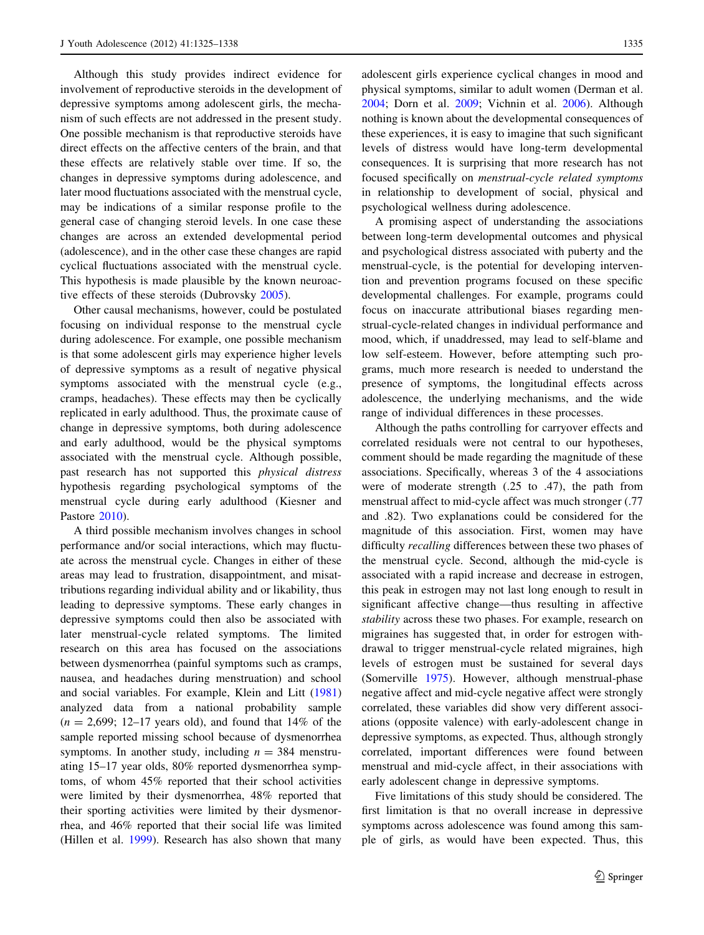Although this study provides indirect evidence for involvement of reproductive steroids in the development of depressive symptoms among adolescent girls, the mechanism of such effects are not addressed in the present study. One possible mechanism is that reproductive steroids have direct effects on the affective centers of the brain, and that these effects are relatively stable over time. If so, the changes in depressive symptoms during adolescence, and later mood fluctuations associated with the menstrual cycle, may be indications of a similar response profile to the general case of changing steroid levels. In one case these changes are across an extended developmental period (adolescence), and in the other case these changes are rapid cyclical fluctuations associated with the menstrual cycle. This hypothesis is made plausible by the known neuroactive effects of these steroids (Dubrovsky [2005](#page-12-0)).

Other causal mechanisms, however, could be postulated focusing on individual response to the menstrual cycle during adolescence. For example, one possible mechanism is that some adolescent girls may experience higher levels of depressive symptoms as a result of negative physical symptoms associated with the menstrual cycle (e.g., cramps, headaches). These effects may then be cyclically replicated in early adulthood. Thus, the proximate cause of change in depressive symptoms, both during adolescence and early adulthood, would be the physical symptoms associated with the menstrual cycle. Although possible, past research has not supported this physical distress hypothesis regarding psychological symptoms of the menstrual cycle during early adulthood (Kiesner and Pastore [2010\)](#page-12-0).

A third possible mechanism involves changes in school performance and/or social interactions, which may fluctuate across the menstrual cycle. Changes in either of these areas may lead to frustration, disappointment, and misattributions regarding individual ability and or likability, thus leading to depressive symptoms. These early changes in depressive symptoms could then also be associated with later menstrual-cycle related symptoms. The limited research on this area has focused on the associations between dysmenorrhea (painful symptoms such as cramps, nausea, and headaches during menstruation) and school and social variables. For example, Klein and Litt ([1981\)](#page-13-0) analyzed data from a national probability sample  $(n = 2,699; 12-17$  years old), and found that 14% of the sample reported missing school because of dysmenorrhea symptoms. In another study, including  $n = 384$  menstruating 15–17 year olds, 80% reported dysmenorrhea symptoms, of whom 45% reported that their school activities were limited by their dysmenorrhea, 48% reported that their sporting activities were limited by their dysmenorrhea, and 46% reported that their social life was limited (Hillen et al. [1999\)](#page-12-0). Research has also shown that many

adolescent girls experience cyclical changes in mood and physical symptoms, similar to adult women (Derman et al. [2004](#page-12-0); Dorn et al. [2009](#page-12-0); Vichnin et al. [2006](#page-13-0)). Although nothing is known about the developmental consequences of these experiences, it is easy to imagine that such significant levels of distress would have long-term developmental consequences. It is surprising that more research has not focused specifically on menstrual-cycle related symptoms in relationship to development of social, physical and psychological wellness during adolescence.

A promising aspect of understanding the associations between long-term developmental outcomes and physical and psychological distress associated with puberty and the menstrual-cycle, is the potential for developing intervention and prevention programs focused on these specific developmental challenges. For example, programs could focus on inaccurate attributional biases regarding menstrual-cycle-related changes in individual performance and mood, which, if unaddressed, may lead to self-blame and low self-esteem. However, before attempting such programs, much more research is needed to understand the presence of symptoms, the longitudinal effects across adolescence, the underlying mechanisms, and the wide range of individual differences in these processes.

Although the paths controlling for carryover effects and correlated residuals were not central to our hypotheses, comment should be made regarding the magnitude of these associations. Specifically, whereas 3 of the 4 associations were of moderate strength (.25 to .47), the path from menstrual affect to mid-cycle affect was much stronger (.77 and .82). Two explanations could be considered for the magnitude of this association. First, women may have difficulty recalling differences between these two phases of the menstrual cycle. Second, although the mid-cycle is associated with a rapid increase and decrease in estrogen, this peak in estrogen may not last long enough to result in significant affective change—thus resulting in affective stability across these two phases. For example, research on migraines has suggested that, in order for estrogen withdrawal to trigger menstrual-cycle related migraines, high levels of estrogen must be sustained for several days (Somerville [1975\)](#page-13-0). However, although menstrual-phase negative affect and mid-cycle negative affect were strongly correlated, these variables did show very different associations (opposite valence) with early-adolescent change in depressive symptoms, as expected. Thus, although strongly correlated, important differences were found between menstrual and mid-cycle affect, in their associations with early adolescent change in depressive symptoms.

Five limitations of this study should be considered. The first limitation is that no overall increase in depressive symptoms across adolescence was found among this sample of girls, as would have been expected. Thus, this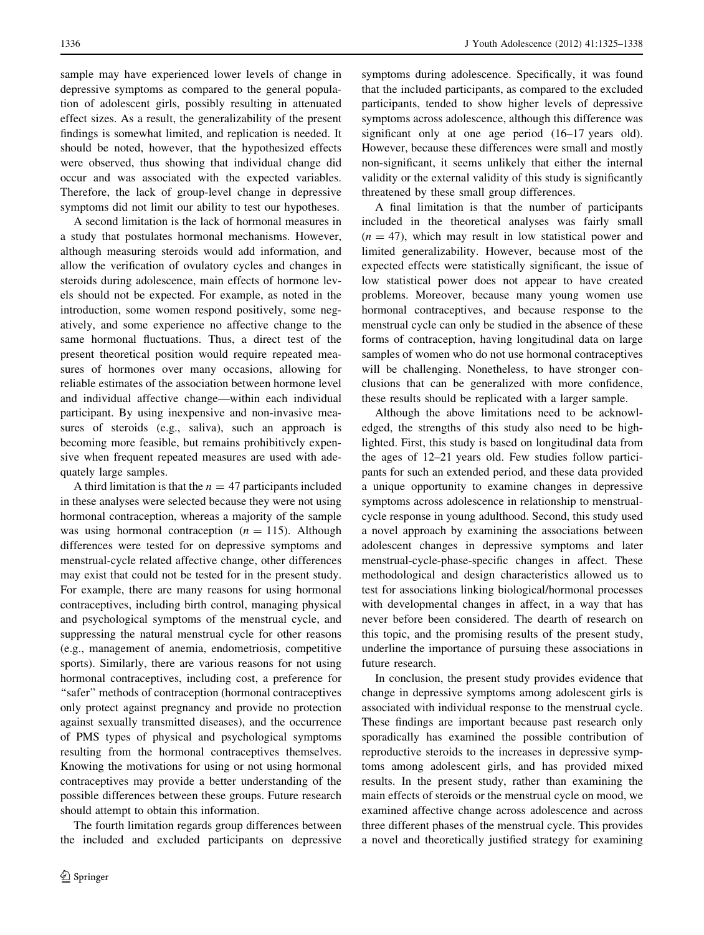sample may have experienced lower levels of change in depressive symptoms as compared to the general population of adolescent girls, possibly resulting in attenuated effect sizes. As a result, the generalizability of the present findings is somewhat limited, and replication is needed. It should be noted, however, that the hypothesized effects were observed, thus showing that individual change did occur and was associated with the expected variables. Therefore, the lack of group-level change in depressive symptoms did not limit our ability to test our hypotheses.

A second limitation is the lack of hormonal measures in a study that postulates hormonal mechanisms. However, although measuring steroids would add information, and allow the verification of ovulatory cycles and changes in steroids during adolescence, main effects of hormone levels should not be expected. For example, as noted in the introduction, some women respond positively, some negatively, and some experience no affective change to the same hormonal fluctuations. Thus, a direct test of the present theoretical position would require repeated measures of hormones over many occasions, allowing for reliable estimates of the association between hormone level and individual affective change—within each individual participant. By using inexpensive and non-invasive measures of steroids (e.g., saliva), such an approach is becoming more feasible, but remains prohibitively expensive when frequent repeated measures are used with adequately large samples.

A third limitation is that the  $n = 47$  participants included in these analyses were selected because they were not using hormonal contraception, whereas a majority of the sample was using hormonal contraception  $(n = 115)$ . Although differences were tested for on depressive symptoms and menstrual-cycle related affective change, other differences may exist that could not be tested for in the present study. For example, there are many reasons for using hormonal contraceptives, including birth control, managing physical and psychological symptoms of the menstrual cycle, and suppressing the natural menstrual cycle for other reasons (e.g., management of anemia, endometriosis, competitive sports). Similarly, there are various reasons for not using hormonal contraceptives, including cost, a preference for "safer" methods of contraception (hormonal contraceptives only protect against pregnancy and provide no protection against sexually transmitted diseases), and the occurrence of PMS types of physical and psychological symptoms resulting from the hormonal contraceptives themselves. Knowing the motivations for using or not using hormonal contraceptives may provide a better understanding of the possible differences between these groups. Future research should attempt to obtain this information.

The fourth limitation regards group differences between the included and excluded participants on depressive symptoms during adolescence. Specifically, it was found that the included participants, as compared to the excluded participants, tended to show higher levels of depressive symptoms across adolescence, although this difference was significant only at one age period (16–17 years old). However, because these differences were small and mostly non-significant, it seems unlikely that either the internal validity or the external validity of this study is significantly threatened by these small group differences.

A final limitation is that the number of participants included in the theoretical analyses was fairly small  $(n = 47)$ , which may result in low statistical power and limited generalizability. However, because most of the expected effects were statistically significant, the issue of low statistical power does not appear to have created problems. Moreover, because many young women use hormonal contraceptives, and because response to the menstrual cycle can only be studied in the absence of these forms of contraception, having longitudinal data on large samples of women who do not use hormonal contraceptives will be challenging. Nonetheless, to have stronger conclusions that can be generalized with more confidence, these results should be replicated with a larger sample.

Although the above limitations need to be acknowledged, the strengths of this study also need to be highlighted. First, this study is based on longitudinal data from the ages of 12–21 years old. Few studies follow participants for such an extended period, and these data provided a unique opportunity to examine changes in depressive symptoms across adolescence in relationship to menstrualcycle response in young adulthood. Second, this study used a novel approach by examining the associations between adolescent changes in depressive symptoms and later menstrual-cycle-phase-specific changes in affect. These methodological and design characteristics allowed us to test for associations linking biological/hormonal processes with developmental changes in affect, in a way that has never before been considered. The dearth of research on this topic, and the promising results of the present study, underline the importance of pursuing these associations in future research.

In conclusion, the present study provides evidence that change in depressive symptoms among adolescent girls is associated with individual response to the menstrual cycle. These findings are important because past research only sporadically has examined the possible contribution of reproductive steroids to the increases in depressive symptoms among adolescent girls, and has provided mixed results. In the present study, rather than examining the main effects of steroids or the menstrual cycle on mood, we examined affective change across adolescence and across three different phases of the menstrual cycle. This provides a novel and theoretically justified strategy for examining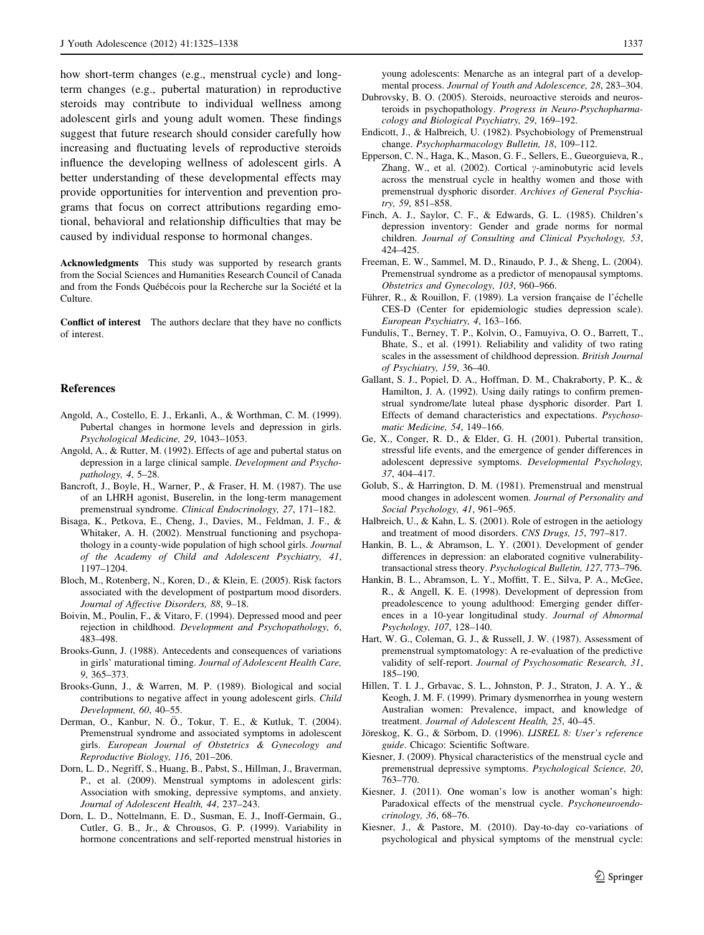<span id="page-12-0"></span>how short-term changes (e.g., menstrual cycle) and longterm changes (e.g., pubertal maturation) in reproductive steroids may contribute to individual wellness among adolescent girls and young adult women. These findings suggest that future research should consider carefully how increasing and fluctuating levels of reproductive steroids influence the developing wellness of adolescent girls. A better understanding of these developmental effects may provide opportunities for intervention and prevention programs that focus on correct attributions regarding emotional, behavioral and relationship difficulties that may be caused by individual response to hormonal changes.

Acknowledgments This study was supported by research grants from the Social Sciences and Humanities Research Council of Canada and from the Fonds Québécois pour la Recherche sur la Société et la Culture.

Conflict of interest The authors declare that they have no conflicts of interest.

#### References

- Angold, A., Costello, E. J., Erkanli, A., & Worthman, C. M. (1999). Pubertal changes in hormone levels and depression in girls. Psychological Medicine, 29, 1043–1053.
- Angold, A., & Rutter, M. (1992). Effects of age and pubertal status on depression in a large clinical sample. Development and Psychopathology, 4, 5–28.
- Bancroft, J., Boyle, H., Warner, P., & Fraser, H. M. (1987). The use of an LHRH agonist, Buserelin, in the long-term management premenstrual syndrome. Clinical Endocrinology, 27, 171–182.
- Bisaga, K., Petkova, E., Cheng, J., Davies, M., Feldman, J. F., & Whitaker, A. H. (2002). Menstrual functioning and psychopathology in a county-wide population of high school girls. Journal of the Academy of Child and Adolescent Psychiatry, 41, 1197–1204.
- Bloch, M., Rotenberg, N., Koren, D., & Klein, E. (2005). Risk factors associated with the development of postpartum mood disorders. Journal of Affective Disorders, 88, 9–18.
- Boivin, M., Poulin, F., & Vitaro, F. (1994). Depressed mood and peer rejection in childhood. Development and Psychopathology, 6, 483–498.
- Brooks-Gunn, J. (1988). Antecedents and consequences of variations in girls' maturational timing. Journal of Adolescent Health Care, 9, 365–373.
- Brooks-Gunn, J., & Warren, M. P. (1989). Biological and social contributions to negative affect in young adolescent girls. Child Development, 60, 40–55.
- Derman, O., Kanbur, N. Ö., Tokur, T. E., & Kutluk, T. (2004). Premenstrual syndrome and associated symptoms in adolescent girls. European Journal of Obstetrics & Gynecology and Reproductive Biology, 116, 201–206.
- Dorn, L. D., Negriff, S., Huang, B., Pabst, S., Hillman, J., Braverman, P., et al. (2009). Menstrual symptoms in adolescent girls: Association with smoking, depressive symptoms, and anxiety. Journal of Adolescent Health, 44, 237–243.
- Dorn, L. D., Nottelmann, E. D., Susman, E. J., Inoff-Germain, G., Cutler, G. B., Jr., & Chrousos, G. P. (1999). Variability in hormone concentrations and self-reported menstrual histories in

young adolescents: Menarche as an integral part of a developmental process. Journal of Youth and Adolescence, 28, 283–304.

- Dubrovsky, B. O. (2005). Steroids, neuroactive steroids and neurosteroids in psychopathology. Progress in Neuro-Psychopharmacology and Biological Psychiatry, 29, 169–192.
- Endicott, J., & Halbreich, U. (1982). Psychobiology of Premenstrual change. Psychopharmacology Bulletin, 18, 109–112.
- Epperson, C. N., Haga, K., Mason, G. F., Sellers, E., Gueorguieva, R., Zhang, W., et al. (2002). Cortical  $\gamma$ -aminobutyric acid levels across the menstrual cycle in healthy women and those with premenstrual dysphoric disorder. Archives of General Psychiatry, 59, 851–858.
- Finch, A. J., Saylor, C. F., & Edwards, G. L. (1985). Children's depression inventory: Gender and grade norms for normal children. Journal of Consulting and Clinical Psychology, 53, 424–425.
- Freeman, E. W., Sammel, M. D., Rinaudo, P. J., & Sheng, L. (2004). Premenstrual syndrome as a predictor of menopausal symptoms. Obstetrics and Gynecology, 103, 960–966.
- Führer, R., & Rouillon, F. (1989). La version française de l'échelle CES-D (Center for epidemiologic studies depression scale). European Psychiatry, 4, 163–166.
- Fundulis, T., Berney, T. P., Kolvin, O., Famuyiva, O. O., Barrett, T., Bhate, S., et al. (1991). Reliability and validity of two rating scales in the assessment of childhood depression. British Journal of Psychiatry, 159, 36–40.
- Gallant, S. J., Popiel, D. A., Hoffman, D. M., Chakraborty, P. K., & Hamilton, J. A. (1992). Using daily ratings to confirm premenstrual syndrome/late luteal phase dysphoric disorder. Part I. Effects of demand characteristics and expectations. Psychosomatic Medicine, 54, 149–166.
- Ge, X., Conger, R. D., & Elder, G. H. (2001). Pubertal transition, stressful life events, and the emergence of gender differences in adolescent depressive symptoms. Developmental Psychology, 37, 404–417.
- Golub, S., & Harrington, D. M. (1981). Premenstrual and menstrual mood changes in adolescent women. Journal of Personality and Social Psychology, 41, 961–965.
- Halbreich, U., & Kahn, L. S. (2001). Role of estrogen in the aetiology and treatment of mood disorders. CNS Drugs, 15, 797–817.
- Hankin, B. L., & Abramson, L. Y. (2001). Development of gender differences in depression: an elaborated cognitive vulnerabilitytransactional stress theory. Psychological Bulletin, 127, 773–796.
- Hankin, B. L., Abramson, L. Y., Moffitt, T. E., Silva, P. A., McGee, R., & Angell, K. E. (1998). Development of depression from preadolescence to young adulthood: Emerging gender differences in a 10-year longitudinal study. Journal of Abnormal Psychology, 107, 128–140.
- Hart, W. G., Coleman, G. J., & Russell, J. W. (1987). Assessment of premenstrual symptomatology: A re-evaluation of the predictive validity of self-report. Journal of Psychosomatic Research, 31, 185–190.
- Hillen, T. I. J., Grbavac, S. L., Johnston, P. J., Straton, J. A. Y., & Keogh, J. M. F. (1999). Primary dysmenorrhea in young western Australian women: Prevalence, impact, and knowledge of treatment. Journal of Adolescent Health, 25, 40–45.
- Jöreskog, K. G., & Sörbom, D. (1996). LISREL 8: User's reference guide. Chicago: Scientific Software.
- Kiesner, J. (2009). Physical characteristics of the menstrual cycle and premenstrual depressive symptoms. Psychological Science, 20, 763–770.
- Kiesner, J. (2011). One woman's low is another woman's high: Paradoxical effects of the menstrual cycle. Psychoneuroendocrinology, 36, 68–76.
- Kiesner, J., & Pastore, M. (2010). Day-to-day co-variations of psychological and physical symptoms of the menstrual cycle: